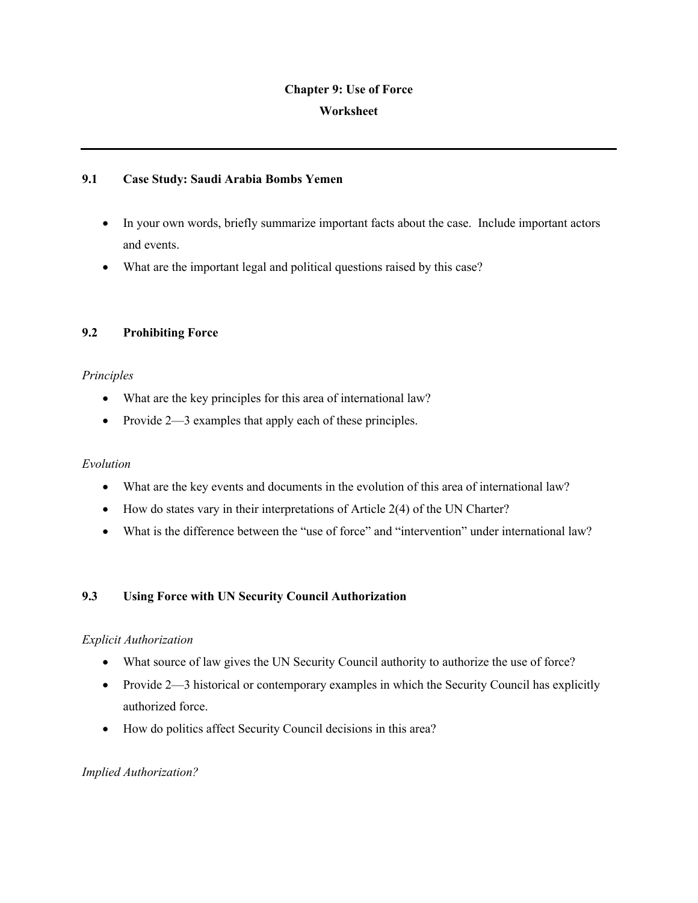# **Chapter 9: Use of Force Worksheet**

#### **9.1 Case Study: Saudi Arabia Bombs Yemen**

- In your own words, briefly summarize important facts about the case. Include important actors and events.
- What are the important legal and political questions raised by this case?

# **9.2 Prohibiting Force**

## *Principles*

- What are the key principles for this area of international law?
- Provide 2—3 examples that apply each of these principles.

## *Evolution*

- What are the key events and documents in the evolution of this area of international law?
- How do states vary in their interpretations of Article 2(4) of the UN Charter?
- What is the difference between the "use of force" and "intervention" under international law?

# **9.3 Using Force with UN Security Council Authorization**

## *Explicit Authorization*

- What source of law gives the UN Security Council authority to authorize the use of force?
- Provide 2—3 historical or contemporary examples in which the Security Council has explicitly authorized force.
- How do politics affect Security Council decisions in this area?

## *Implied Authorization?*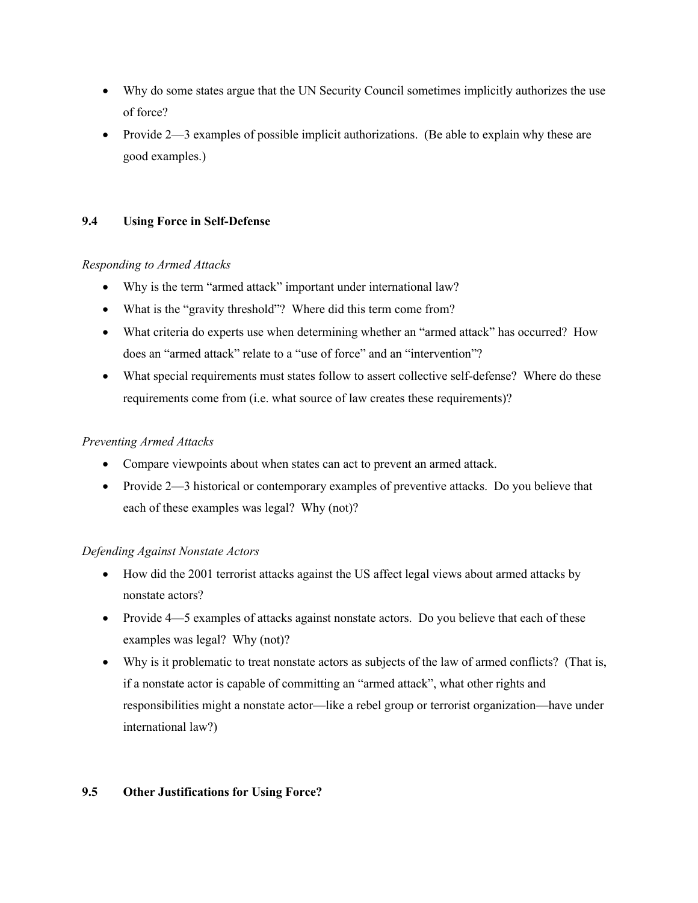- Why do some states argue that the UN Security Council sometimes implicitly authorizes the use of force?
- Provide  $2-3$  examples of possible implicit authorizations. (Be able to explain why these are good examples.)

#### **9.4 Using Force in Self-Defense**

#### *Responding to Armed Attacks*

- Why is the term "armed attack" important under international law?
- What is the "gravity threshold"? Where did this term come from?
- What criteria do experts use when determining whether an "armed attack" has occurred? How does an "armed attack" relate to a "use of force" and an "intervention"?
- What special requirements must states follow to assert collective self-defense? Where do these requirements come from (i.e. what source of law creates these requirements)?

#### *Preventing Armed Attacks*

- Compare viewpoints about when states can act to prevent an armed attack.
- Provide 2—3 historical or contemporary examples of preventive attacks. Do you believe that each of these examples was legal? Why (not)?

#### *Defending Against Nonstate Actors*

- How did the 2001 terrorist attacks against the US affect legal views about armed attacks by nonstate actors?
- Provide 4—5 examples of attacks against nonstate actors. Do you believe that each of these examples was legal? Why (not)?
- Why is it problematic to treat nonstate actors as subjects of the law of armed conflicts? (That is, if a nonstate actor is capable of committing an "armed attack", what other rights and responsibilities might a nonstate actor—like a rebel group or terrorist organization—have under international law?)

## **9.5 Other Justifications for Using Force?**